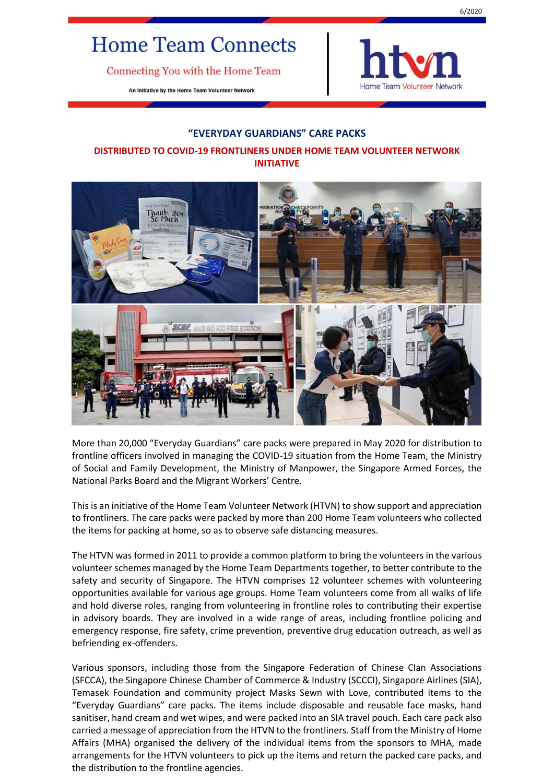## **Home Team Connects**

Connecting You with the Home Team

An initiative by the Home Team Volunteer Network



## **"EVERYDAY GUARDIANS" CARE PACKS**

## **DISTRIBUTED TO COVID-19 FRONTLINERS UNDER HOME TEAM VOLUNTEER NETWORK INITIATIVE**



More than 20,000 "Everyday Guardians" care packs were prepared in May 2020 for distribution to frontline officers involved in managing the COVID-19 situation from the Home Team, the Ministry of Social and Family Development, the Ministry of Manpower, the Singapore Armed Forces, the National Parks Board and the Migrant Workers' Centre.

This is an initiative of the Home Team Volunteer Network (HTVN) to show support and appreciation to frontliners. The care packs were packed by more than 200 Home Team volunteers who collected the items for packing at home, so as to observe safe distancing measures.

The HTVN was formed in 2011 to provide a common platform to bring the volunteers in the various volunteer schemes managed by the Home Team Departments together, to better contribute to the safety and security of Singapore. The HTVN comprises 12 volunteer schemes with volunteering opportunities available for various age groups. Home Team volunteers come from all walks of life and hold diverse roles, ranging from volunteering in frontline roles to contributing their expertise in advisory boards. They are involved in a wide range of areas, including frontline policing and emergency response, fire safety, crime prevention, preventive drug education outreach, as well as befriending ex-offenders.

Various sponsors, including those from the Singapore Federation of Chinese Clan Associations (SFCCA), the Singapore Chinese Chamber of Commerce & Industry (SCCCI), Singapore Airlines (SIA), Temasek Foundation and community project Masks Sewn with Love, contributed items to the "Everyday Guardians" care packs. The items include disposable and reusable face masks, hand sanitiser, hand cream and wet wipes, and were packed into an SIA travel pouch. Each care pack also carried a message of appreciation from the HTVN to the frontliners. Staff from the Ministry of Home Affairs (MHA) organised the delivery of the individual items from the sponsors to MHA, made arrangements for the HTVN volunteers to pick up the items and return the packed care packs, and the distribution to the frontline agencies.